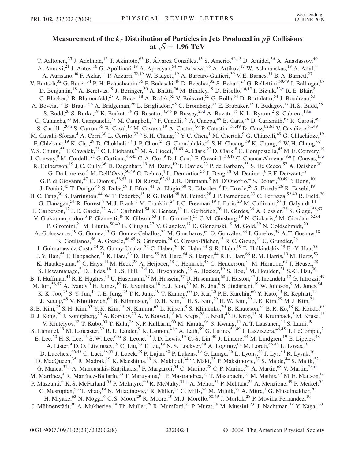## Measurement of the  $k_T$  Distribution of Particles in Jets Produced in  $p\bar{p}$  Collisions at  $\sqrt{s}$  = 1.96 TeV

<span id="page-0-10"></span><span id="page-0-9"></span><span id="page-0-8"></span><span id="page-0-7"></span><span id="page-0-6"></span><span id="page-0-5"></span><span id="page-0-4"></span><span id="page-0-3"></span><span id="page-0-2"></span><span id="page-0-1"></span><span id="page-0-0"></span>T. Aaltonen,<sup>25</sup> J. Adelman,<sup>15</sup> T. Akimoto,<sup>63</sup> B. Álvarez González,<sup>13</sup> S. Amerio,<sup>46,45</sup> D. Amidei,<sup>36</sup> A. Anastassov,<sup>40</sup> A. Annovi,<sup>21</sup> J. Antos,<sup>16</sup> G. Apollinari,<sup>19</sup> A. Apresyan,<sup>54</sup> T. Arisawa,<sup>65</sup> A. Artikov,<sup>17</sup> W. Ashmanskas,<sup>19</sup> A. Attal,<sup>4</sup> A. Aurisano,<sup>60</sup> F. Azfar,<sup>44</sup> P. Azzurri,<sup>52,49</sup> W. Badgett,<sup>19</sup> A. Barbaro-Galtieri,<sup>30</sup> V. E. Barnes,<sup>54</sup> B. A. Barnett,<sup>27</sup> V. Bartsch,<sup>32</sup> G. Bauer,<sup>34</sup> P.-H. Beauchemin,<sup>35</sup> F. Bedeschi,<sup>49</sup> D. Beecher,<sup>32</sup> S. Behari,<sup>27</sup> G. Bellettini,<sup>50,49</sup> J. Bellinger,<sup>67</sup> D. Benjamin,<sup>18</sup> A. Beretvas,<sup>19</sup> J. Beringer,<sup>30</sup> A. Bhatti,<sup>56</sup> M. Binkley,<sup>19</sup> D. Bisello,<sup>46,45</sup> I. Bizjak,<sup>32[,v](#page-7-0)</sup> R. E. Blair,<sup>2</sup> C. Blocker,  $8$  B. Blumenfeld,  $27$  A. Bocci,  $18$  A. Bodek,  $55$  V. Boisvert,  $55$  G. Bolla,  $54$  D. Bortoletto,  $54$  J. Boudreau,  $53$ A. Boveia,<sup>12</sup> B. Brau,<sup>12[,b](#page-6-0)</sup> A. Bridgeman,<sup>26</sup> L. Brigliadori,<sup>45</sup> C. Bromberg,<sup>37</sup> E. Brubaker,<sup>15</sup> J. Budagov,<sup>17</sup> H. S. Budd,<sup>55</sup> S. Budd,<sup>26</sup> S. Burke,<sup>19</sup> K. Burkett,<sup>19</sup> G. Busetto,<sup>46,45</sup> P. Bussey,<sup>23,1</sup> A. Buzatu,<sup>35</sup> K. L. Byrum,<sup>2</sup> S. Cabrera,<sup>18[,u](#page-7-1)</sup> C. Calancha,<sup>33</sup> M. Campanelli,<sup>37</sup> M. Campbell,<sup>36</sup> F. Canelli,<sup>19</sup> A. Canepa,<sup>48</sup> B. Carls,<sup>26</sup> D. Carlsmith,<sup>67</sup> R. Carosi,<sup>49</sup> S. Carrillo,<sup>20[,n](#page-6-2)</sup> S. Carron,<sup>35</sup> B. Casal,<sup>13</sup> M. Casarsa,<sup>19</sup> A. Castro,<sup>7,6</sup> P. Catastini,<sup>51,49</sup> D. Cauz,<sup>62,61</sup> V. Cavaliere,<sup>51,49</sup> M. Cavalli-Sf[o](#page-6-3)rza,<sup>4</sup> A. Cerri,<sup>30</sup> L. Cerrito,<sup>32,0</sup> S. H. Chang,<sup>29</sup> Y. C. Chen,<sup>1</sup> M. Chertok,<sup>9</sup> G. Chiarelli,<sup>49</sup> G. Chlachidze,<sup>19</sup> F. Chlebana,<sup>19</sup> K. Cho,<sup>29</sup> D. Chokheli,<sup>17</sup> J. P. Chou,<sup>24</sup> G. Choudalakis,<sup>34</sup> S. H. Chuang,<sup>59</sup> K. Chung,<sup>14</sup> W. H. Chung,<sup>67</sup> Y. S. Chung,<sup>55</sup> T. Chwalek,<sup>28</sup> C. I. Ciobanu,<sup>47</sup> M. A. Ciocci,<sup>51,49</sup> A. Clark,<sup>22</sup> D. Clark,<sup>8</sup> G. Compostella,<sup>45</sup> M. E. Convery,<sup>19</sup> J. Conway, <s[u](#page-7-1)p>9</sup> M. Cordelli, <sup>21</sup> G. Cortiana, <sup>46,45</sup> C. A. Cox, <sup>9</sup> D. J. Cox, <sup>9</sup> F. Crescioli, <sup>50,49</sup> C. Cuenca Almenar, <sup>9,u</sup> J. Cuevas, <sup>13[,s](#page-6-4)</sup> R. Culbertson,<sup>19</sup> J. C. Cully,<sup>36</sup> D. Dagenhart,<sup>19</sup> M. Datta,<sup>19</sup> T. Davies,<sup>23</sup> P. de Barbaro,<sup>55</sup> S. De Cecco,<sup>57</sup> A. Deisher,<sup>30</sup> G. De Lorenzo,<sup>4</sup> M. Dell'Orso,<sup>50,49</sup> C. Deluca,<sup>4</sup> L. Demortier,<sup>56</sup> J. Deng,<sup>18</sup> M. Deninno,<sup>6</sup> P. F. Derwent,<sup>18</sup> G. P. di Giovanni,<sup>47</sup> C. Dionisi,<sup>58,57</sup> B. Di Ruzza,<sup>62,61</sup> J. R. Dittmann,<sup>5</sup> M. D'Onofrio,<sup>4</sup> S. Donati,<sup>50,49</sup> P. Dong,<sup>10</sup> J. Donini,<sup>45</sup> T. Dorigo,<sup>45</sup> S. Dube,<sup>59</sup> J. Efron,<sup>41</sup> A. Elagin,<sup>60</sup> R. Erbacher,<sup>9</sup> D. Errede,<sup>26</sup> S. Errede,<sup>26</sup> R. Eusebi,<sup>19</sup> H. C. Fang,<sup>30</sup> S. Farrington,<sup>44</sup> W. T. Fedorko,<sup>15</sup> R. G. Feild,<sup>68</sup> M. Feindt,<sup>28</sup> J. P. Fernandez,<sup>33</sup> C. Ferrazza,<sup>52,49</sup> R. Field,<sup>20</sup> G. Flanagan,<sup>54</sup> R. Forrest,<sup>9</sup> M. J. Frank,<sup>5</sup> M. Franklin,<sup>24</sup> J. C. Freeman,<sup>19</sup> I. Furic,<sup>20</sup> M. Gallinaro,<sup>57</sup> J. Galyardt,<sup>14</sup> F. Garberson,<sup>12</sup> J. E. Garcia,<sup>22</sup> A. F. Garfinkel,<sup>54</sup> K. Genser,<sup>19</sup> H. Gerberich,<sup>26</sup> D. Gerdes,<sup>36</sup> A. Gessler,<sup>28</sup> S. Giagu,<sup>58,57</sup> V. Giakoumopoulou,<sup>3</sup> P. Giannetti,<sup>49</sup> K. Gibson,<sup>53</sup> J.L. Gimmell,<sup>55</sup> C.M. Ginsburg,<sup>19</sup> N. Giokaris,<sup>3</sup> M. Giordani,<sup>62,61</sup> P. Giromini,<sup>21</sup> M. Giunta,<sup>50,49</sup> G. Giurgiu,<sup>27</sup> V. Glagolev,<sup>17</sup> D. Glenzinski,<sup>19</sup> M. Gold,<sup>39</sup> N. Goldschmidt,<sup>20</sup> A. Golossanov,<sup>19</sup> G. Gomez,<sup>13</sup> G. Gomez-Ceballos,<sup>34</sup> M. Goncharov,<sup>60</sup> O. González,<sup>33</sup> I. Gorelov,<sup>39</sup> A. T. Goshaw,<sup>18</sup> K. Goulianos, <sup>56</sup> A. Gresele, <sup>46,45</sup> S. Grinstein, <sup>24</sup> C. Grosso-Pilcher, <sup>15</sup> R. C. Group, <sup>19</sup> U. Grundler, <sup>26</sup> J. Guimaraes da Costa, <sup>24</sup> Z. Gunay-Unalan, <sup>37</sup> C. Haber, <sup>30</sup> K. Hahn, <sup>34</sup> S. R. Hahn, <sup>19</sup> E. Halkiadakis, <sup>59</sup> B.-Y. Han, <sup>55</sup> J. Y. Han,<sup>55</sup> F. Happacher,<sup>21</sup> K. Hara,<sup>63</sup> D. Hare,<sup>59</sup> M. Hare,<sup>64</sup> S. Harper,<sup>44</sup> R. F. Harr,<sup>66</sup> R. M. Harris,<sup>19</sup> M. Hartz,<sup>53</sup> K. Hatakeyama,<sup>56</sup> C. Hays,<sup>44</sup> M. Heck,<sup>28</sup> A. Heijboer,<sup>48</sup> J. Heinrich,<sup>48</sup> C. Henderson,<sup>34</sup> M. Herndon,<sup>67</sup> J. Heuser,<sup>28</sup> S. Hewamanage,<sup>5</sup> D. Hidas,<sup>18</sup> C. S. Hill,<sup>12[,d](#page-6-5)</sup> D. Hirschbuehl,<sup>28</sup> A. Hocker,<sup>19</sup> S. Hou,<sup>1</sup> M. Houlden,<sup>31</sup> S.-C. Hsu,<sup>30</sup> B. T. Huffman,<sup>44</sup> R. E. Hughes,<sup>41</sup> U. Husemann,<sup>37</sup> M. Hussein,<sup>37</sup> U. Husemann,<sup>68</sup> J. Huston,<sup>37</sup> J. Incandela,<sup>12</sup> G. Introzzi,<sup>49</sup> M. Iori,<sup>58,57</sup> A. Ivanov,<sup>9</sup> E. James,<sup>19</sup> B. Jayatilaka,<sup>18</sup> E. J. Jeon,<sup>29</sup> M. K. Jha,<sup>6</sup> S. Jindariani,<sup>19</sup> W. Johnson,<sup>9</sup> M. Jones,<sup>54</sup> K. K. Joo,<sup>29</sup> S. Y. Jun,<sup>14</sup> J. E. Jung,<sup>29</sup> T. R. Junk,<sup>19</sup> T. Kamon,<sup>60</sup> D. Kar,<sup>20</sup> P. E. Karchin,<sup>66</sup> Y. Kato,<sup>43</sup> R. Kephart,<sup>19</sup> J. Keung,<sup>48</sup> V. Khotilovich,<sup>60</sup> B. Kilminster,<sup>19</sup> D. H. Kim,<sup>29</sup> H. S. Kim,<sup>29</sup> H. W. Kim,<sup>29</sup> J. E. Kim,<sup>29</sup> M. J. Kim,<sup>21</sup> S. B. Kim,<sup>29</sup> S. H. Kim,<sup>63</sup> Y. K. Kim,<sup>15</sup> N. Kimura,<sup>63</sup> L. Kirsch,<sup>8</sup> S. Klimenko,<sup>20</sup> B. Knuteson,<sup>34</sup> B. R. Ko,<sup>18</sup> K. Kondo,<sup>65</sup> D. J. Kong,<sup>29</sup> J. Konigsberg,<sup>20</sup> A. Korytov,<sup>20</sup> A. V. Kotwal,<sup>18</sup> M. Kreps,<sup>28</sup> J. Kroll,<sup>48</sup> D. Krop,<sup>15</sup> N. Krumnack,<sup>5</sup> M. Kruse,<sup>18</sup> V. Krutelyov,<sup>12</sup> T. Kubo,<sup>63</sup> T. Kuhr,<sup>28</sup> N. P. Kulkarni,<sup>66</sup> M. Kurata,<sup>63</sup> S. Kwang,<sup>15</sup> A. T. Laasanen,<sup>54</sup> S. Lami,<sup>49</sup> S. Lammel,<sup>19</sup> M. Lancaste[r](#page-6-6),<sup>32</sup> R. L. Lander,<sup>9</sup> K. Lannon,<sup>41,r</sup> A. Lath,<sup>59</sup> G. Latino,<sup>51,49</sup> I. Lazzizzera,<sup>46,45</sup> T. LeCompte,<sup>2</sup> E. Lee,  $^{60}$  H. S. Lee,  $^{15}$  S. W. Lee,  $^{60,t}$  $^{60,t}$  $^{60,t}$  S. Leone,  $^{49}$  J. D. Lewis,  $^{19}$  C.-S. Lin,  $^{30}$  J. Linacre,  $^{44}$  M. Lindgren,  $^{19}$  E. Lipeles,  $^{48}$ A. Lister, <sup>9</sup> D. O. Litvintsev, <sup>19</sup> C. Liu, <sup>53</sup> T. Liu, <sup>19</sup> N. S. Lockyer, <sup>48</sup> A. Loginov, <sup>68</sup> M. Loreti, <sup>46,45</sup> L. Lovas, <sup>16</sup> D. Lucchesi,<sup>46,45</sup> C. Luci,<sup>58,57</sup> J. Lueck,<sup>28</sup> P. Lujan,<sup>30</sup> P. Lukens,<sup>19</sup> G. Lungu,<sup>56</sup> L. Lyons,<sup>44</sup> J. Lys,<sup>30</sup> R. Lysak,<sup>16</sup> D. MacQueen,<sup>35</sup> R. Madrak,<sup>19</sup> K. Maeshima,<sup>19</sup> K. Makhoul,<sup>34</sup> T. Maki,<sup>25</sup> P. Maksimovic,<sup>27</sup> S. Malde,<sup>44</sup> S. Malik,<sup>32</sup> G. Manca,<sup>31[,f](#page-6-7)</sup> A. Manousakis-Katsikakis,<sup>3</sup> F. Margaroli,<sup>54</sup> C. Marino,<sup>28</sup> C. P. Marino,<sup>26</sup> A. Martin,<sup>68</sup> V. Martin,<sup>23,[m](#page-6-8)</sup> M. Martínez,<sup>4</sup> R. Martínez-Ballarín,<sup>33</sup> T. Maruyama,<sup>63</sup> P. Mastrandrea,<sup>57</sup> T. Masubuchi,<sup>63</sup> M. Mathis,<sup>27</sup> M. E. Mattson,<sup>66</sup> P. Mazzanti,<sup>6</sup> K. S. McFarland,<sup>55</sup> P. McIntyre,<sup>60</sup> R. McNulty,<sup>31[,k](#page-6-9)</sup> A. Mehta,<sup>31</sup> P. Mehtala,<sup>25</sup> A. Menzione,<sup>49</sup> P. Merkel,<sup>54</sup> C. Mesropian,<sup>56</sup> T. Miao,<sup>19</sup> N. Miladinovic,<sup>8</sup> R. Miller,<sup>37</sup> C. Mills,<sup>24</sup> M. Milnik,<sup>28</sup> A. Mitra,<sup>1</sup> G. Mitselmakher,<sup>20</sup> H. Miyake,<sup>63</sup> N. Moggi,<sup>6</sup> C. S. Moon,<sup>29</sup> R. Moore,<sup>19</sup> M. J. Morello,<sup>50,49</sup> J. Morlok,<sup>28</sup> P. Movilla Fernandez,<sup>19</sup> J. Mülmenstädt,<sup>30</sup> A. Mukherjee,<sup>19</sup> Th. Muller,<sup>28</sup> R. Mumford,<sup>27</sup> P. Murat,<sup>19</sup> M. Mussini,<sup>7,6</sup> J. Nachtman,<sup>19</sup> Y. Nagai,<sup>63</sup>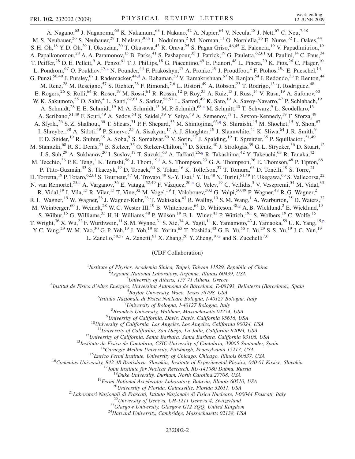<span id="page-1-8"></span><span id="page-1-6"></span><span id="page-1-4"></span><span id="page-1-0"></span>A. Nagano,<sup>63</sup> J. Naganoma,<sup>63</sup> K. Nakamura,<sup>63</sup> I. Nakano,<sup>42</sup> A. Napier,<sup>64</sup> V. Necula,<sup>18</sup> J. Nett,<sup>67</sup> C. Neu,<sup>7,48</sup> M. S. Neubauer,<sup>26</sup> S. Neubauer,<sup>28</sup> J. Nielsen,<sup>30,[h](#page-6-10)</sup> L. Nodulman,<sup>2</sup> M. Norman,<sup>11</sup> O. Norniella,<sup>26</sup> E. Nurse,<sup>32</sup> L. Oakes,<sup>44</sup> S. H. Oh,<sup>18</sup> Y. D. Oh,<sup>29</sup> I. Oksuzian,<sup>20</sup> T. Okusawa,<sup>43</sup> R. Orava,<sup>25</sup> S. Pagan Griso,<sup>46,45</sup> E. Palencia,<sup>19</sup> V. Papadimitriou,<sup>19</sup> A. Papaikonomou,<sup>28</sup> A. A. Paramonov,<sup>15</sup> B. Parks,<sup>41</sup> S. Pashapour,<sup>35</sup> J. Patrick,<sup>19</sup> G. Pauletta,<sup>62,61</sup> M. Paulini,<sup>14</sup> C. Paus,<sup>34</sup> T. Peiffer,<sup>28</sup> D. E. Pellett,<sup>9</sup> A. Penzo,<sup>61</sup> T. J. Phillips,<sup>18</sup> G. Piacentino,<sup>49</sup> E. Pianori,<sup>48</sup> L. Pinera,<sup>20</sup> K. Pitts,<sup>26</sup> C. Plager,<sup>10</sup> L. Pondrom,<sup>67</sup> O. Poukhov,<sup>17,[a](#page-6-11)</sup> N. Pounder,<sup>44</sup> F. Prakoshyn,<sup>17</sup> A. Pronko,<sup>19</sup> J. Proudfoot,<sup>2</sup> F. Ptohos,<sup>19[,j](#page-6-12)</sup> E. Pueschel,<sup>14</sup> G. Punzi,<sup>50,49</sup> J. Pursley,<sup>67</sup> J. Ra[d](#page-6-5)emacker,<sup>44,d</sup> A. Rahaman,<sup>53</sup> V. Ramakrishnan,<sup>67</sup> N. Ranjan,<sup>54</sup> I. Redondo,<sup>33</sup> P. Renton,<sup>44</sup> M. Renz,<sup>28</sup> M. Rescigno,<sup>57</sup> S. Richter,<sup>28</sup> F. Rimondi,<sup>7,6</sup> L. Ristori,<sup>49</sup> A. Robson,<sup>23</sup> T. Rodrigo,<sup>13</sup> T. Rodriguez,<sup>48</sup> E. Rogers,<sup>26</sup> S. Rolli,<sup>64</sup> R. Roser,<sup>19</sup> M. Rossi,<sup>61</sup> R. Rossin,<sup>12</sup> P. Roy,<sup>35</sup> A. Ruiz,<sup>13</sup> J. Russ,<sup>14</sup> V. Rusu,<sup>19</sup> A. Safonov,<sup>60</sup> W. K. Sakumoto,<sup>55</sup> O. Saltó,<sup>4</sup> L. Santi,<sup>62,61</sup> S. Sarkar,<sup>58,57</sup> L. Sartori,<sup>49</sup> K. Sato,<sup>19</sup> A. Savoy-Navarro,<sup>47</sup> P. Schlabach,<sup>19</sup> A. Schmidt,<sup>28</sup> E. E. Schmidt,<sup>19</sup> M. A. Schmidt,<sup>15</sup> M. P. Schmidt,<sup>68,[a](#page-6-11)</sup> M. Schmitt,<sup>40</sup> T. Schwarz,<sup>9</sup> L. Scodellaro,<sup>13</sup> A. Scribano,<sup>51,49</sup> F. Scuri,<sup>49</sup> A. Sedov,<sup>54</sup> S. Seidel,<sup>39</sup> Y. Seiya,<sup>43</sup> A. Semenov,<sup>17</sup> L. Sexton-Kennedy,<sup>19</sup> F. Sforza,<sup>49</sup> A. Sfyrla,<sup>26</sup> S. Z. Shalhout,<sup>66</sup> T. Shears,<sup>31</sup> P. F. Shepard,<sup>53</sup> M. Shimojima,<sup>63,[q](#page-6-13)</sup> S. Shiraishi,<sup>15</sup> M. Shochet,<sup>15</sup> Y. Shon,<sup>67</sup> I. Shreyber,<sup>38</sup> A. Sidoti,<sup>49</sup> P. Sinervo,<sup>35</sup> A. Sisakyan,<sup>17</sup> A. J. Slaughter,<sup>19</sup> J. Slaunwhite,<sup>41</sup> K. Sliwa,<sup>64</sup> J. R. Smith,<sup>9</sup> F. D. Snider,<sup>19</sup> R. Snihur,<sup>35</sup> A. Soha,<sup>9</sup> S. Somalwar,<sup>59</sup> V. Sorin,<sup>37</sup> J. Spalding,<sup>19</sup> T. Spreitzer,<sup>35</sup> P. Squillacioti,<sup>51,49</sup> M. Stanitzki,<sup>68</sup> R. St. Denis,<sup>23</sup> B. Stelzer,<sup>35</sup> O. Stelzer-Chilton,<sup>35</sup> D. Stentz,<sup>40</sup> J. Strologas,<sup>39</sup> G. L. Strycker,<sup>36</sup> D. Stuart,<sup>12</sup> J. S. Suh,<sup>29</sup> A. Sukhanov,<sup>20</sup> I. Suslov,<sup>17</sup> T. Suzuki,<sup>63</sup> A. Taffard,<sup>26[,g](#page-6-14)</sup> R. Takashima,<sup>42</sup> Y. Takeuchi,<sup>63</sup> R. Tanaka,<sup>42</sup> M. Tecch[i](#page-6-15)o,<sup>36</sup> P. K. Teng,<sup>1</sup> K. Terashi,<sup>56</sup> J. Thom,<sup>19,i</sup> A. S. Thompson,<sup>23</sup> G. A. Thompson,<sup>26</sup> E. Thomson,<sup>48</sup> P. Tipton,<sup>68</sup> P. Ttito-Guzmán,<sup>33</sup> S. Tkaczyk,<sup>19</sup> D. Toback,<sup>60</sup> S. Tokar,<sup>16</sup> K. Tollefson,<sup>37</sup> T. Tomura,<sup>63</sup> D. Tonelli,<sup>19</sup> S. Torre,<sup>21</sup> D. Torretta, <sup>19</sup> P. Totaro, <sup>62,61</sup> S. Tourneur, <sup>47</sup> M. Trovato, <sup>49</sup> S.-Y. Tsai, <sup>1</sup> Y. Tu, <sup>48</sup> N. Turini, <sup>51,49</sup> F. Ukegawa, <sup>63</sup> S. Vallecorsa, <sup>22</sup> N. van Remortel,<sup>25[,c](#page-6-16)</sup> A. Varga[n](#page-6-2)ov,<sup>36</sup> E. Vataga,<sup>52,49</sup> F. Vázquez,<sup>20,n</sup> G. Velev,<sup>19</sup> C. Vellidis,<sup>3</sup> V. Veszpremi,<sup>54</sup> M. Vidal,<sup>33</sup> R. Vidal, <sup>19</sup> I. Vila, <sup>13</sup> R. Vilar, <sup>13</sup> T. Vine, <sup>32</sup> M. Vogel, <sup>39</sup> I. Volobouev, <sup>30,[t](#page-7-2)</sup> G. Volpi, <sup>50,49</sup> P. Wagner, <sup>48</sup> R. G. Wagner, <sup>2</sup> R. L. Wagner,<sup>19</sup> W. Wagner,<sup>28</sup> J. Wagner-Kuhr,<sup>28</sup> T. Wakisaka,<sup>43</sup> R. Wallny,<sup>10</sup> S. M. Wang,<sup>1</sup> A. Warburton,<sup>35</sup> D. Waters,<sup>32</sup> M. Weinberger,<sup>60</sup> J. Weinelt,<sup>28</sup> W. C. Wester III,<sup>19</sup> B. Whitehouse,<sup>64</sup> D. Whiteson,<sup>48[,g](#page-6-14)</sup> A. B. Wicklund,<sup>2</sup> E. Wicklund,<sup>19</sup> M. Weinberger,<sup>60</sup> J. Weinelt,<sup>28</sup> W. C. Wester III,<sup>19</sup> B. Whitehouse,<sup>64</sup> D. Whiteson,<sup>4</sup> S. Wilbur,<sup>15</sup> G. Williams,<sup>35</sup> H. H. Williams,<sup>48</sup> P. Wilson,<sup>19</sup> B. L. Winer,<sup>41</sup> P. Wittich,<sup>19[,i](#page-6-15)</sup> S. Wolbers,<sup>19</sup> C. Wolfe,<sup>15</sup> T. Wright,<sup>36</sup> X. Wu,<sup>22</sup> F. Würthwein,<sup>11</sup> S. M. Wynne,<sup>31</sup> S. Xie,<sup>34</sup> A. Yagil,<sup>11</sup> K. Yamamoto,<sup>43</sup> J. Yamaoka,<sup>59</sup> U. K. Yang,<sup>15[,p](#page-6-17)</sup> Y. C. Yang,<sup>29</sup> W. M. Yao,<sup>30</sup> G. P. Yeh,<sup>19</sup> J. Yoh,<sup>19</sup> K. Yorita,<sup>65</sup> T. Yoshida,<sup>43</sup> G. B. Yu,<sup>55</sup> I. Yu,<sup>29</sup> S. S. Yu,<sup>19</sup> J. C. Yun,<sup>19</sup>

<span id="page-1-7"></span><span id="page-1-5"></span><span id="page-1-3"></span><span id="page-1-1"></span>L. Zanello,<sup>58,57</sup> A. Zanetti,<sup>61</sup> X. Zhang,<sup>26</sup> Y. Zheng,<sup>10[,e](#page-6-18)</sup> and S. Zucchelli<sup>7,6</sup>

## (CDF Collaboration)

<sup>1</sup>Institute of Physics, Academia Sinica, Taipei, Taiwan 11529, Republic of China<br><sup>2</sup>Argonna National Laboratory, Argonna Illinois 60430, USA

 $A$ rgonne National Laboratory, Argonne, Illinois 60439, USA<br> $3$ University of Athens, 157 71 Athens, Greece

<span id="page-1-2"></span><sup>3</sup>University of Athens, 157 71 Athens, Greece  $\frac{4}{3}$  University of Athens, 157 71 Athens, Greece

Institut de Fisica d'Altes Energies, Universitat Autonoma de Barcelona, E-08193, Bellaterra (Barcelona), Spain <sup>5</sup>

<sup>5</sup>Baylor University, Waco, Texas 76798, USA

<sup>6</sup>Istituto Nazionale di Fisica Nucleare Bologna, I-40127 Bologna, Italy

University of Bologna, I-40127 Bologna, Italy

 ${}^8$ Brandeis University, Waltham, Massachusetts 02254, USA<br><sup>9</sup>University of California, Davis, Davis, California 95616, USA

 $^{10}$ University of California, Los Angeles, Los Angeles, California 90024, USA

<sup>11</sup>University of California, San Diego, La Jolla, California 92093, USA<br>
<sup>12</sup>University of California, Santa Barbara, Santa Barbara, California 93106, USA<br>
<sup>13</sup>Instituto de Eisica de Cantabria, CSIC-University of Catilog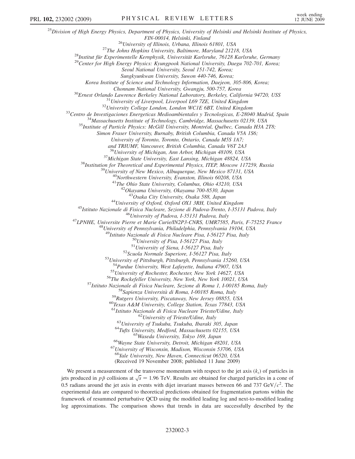<sup>25</sup>Division of High Energy Physics, Department of Physics, University of Helsinki and Helsinki Institute of Physics, FIN-00014, Helsinki, Finland<br><sup>26</sup>University of Illinois, Urbana, Illinois 61801, USA<br><sup>27</sup>The Johns Hopkins University, Baltimore, Maryland 21218, USA<br><sup>28</sup>Institut für Experimentelle Kernphysik, Universität Karlsruhe, 76128 Seoul National University, Seoul 151-742, Korea; Sungkyunkwan University, Suwon 440-746, Korea; Korea Institute of Science and Technology Information, Daejeon, 305-806, Korea; Chonnam National University, Gwangju, 500-757, Korea<br><sup>30</sup>Ernest Orlando Lawrence Berkeley National Laboratory, Berkeley, California 94720, USS<br><sup>31</sup>University of Liverpool, Liverpool L69 7ZE, United Kingdom<br><sup>32</sup>University C Simon Fraser University, Burnaby, British Columbia, Canada V5A 1S6; University of Toronto, Toronto, Ontario, Canada M5S 1A7; and TRIUMF, Vancouver, British Columbia, Canada V6T 2A3 <sup>36</sup>University of Michigan, Ann Arbor, Michigan 48109, USA<br><sup>37</sup>Michigan State University, East Lansing, Michigan 48824, USA<br><sup>38</sup>Institution for Theoretical and Experimental Physics, ITEP, Moscow 117259, Russia<br><sup>39</sup>Univers <sup>44</sup>University of Oxford, Oxford OX1 3RH, United Kingdom<br><sup>45</sup>Istituto Nazionale di Fisica Nucleare, Sezione di Padova-Trento, I-35131 Padova, Italy<br><sup>46</sup>University of Padova, I-35131 Padova, Italy<br><sup>47</sup>LPNHE, Universite Pie <sup>49</sup>Istituto Nazionale di Fisica Nucleare Pisa, I-56127 Pisa, Italy<br><sup>50</sup>University of Pisa, I-56127 Pisa, Italy<br><sup>51</sup>University of Siena, I-56127 Pisa, Italy<br><sup>52</sup>Scuola Normale Superiore, I-56127 Pisa, Italy<br><sup>53</sup>University <sup>54</sup>Purdue University, West Lafayette, Indiana 47907, USA<br><sup>55</sup>University of Rochester, Rochester, New York 14627, USA<br><sup>57</sup>Istituto Nazionale di Fisica Nucleare, Sezione di Roma 1, 1-00185 Roma, Italy<br><sup>57</sup>Istituto Nazional <sup>63</sup>University of Trieste/Udine, Italy<br><sup>63</sup>University of Tsukuba, Tsukuba, Ibaraki 305, Japan<br><sup>64</sup>Tufts University, Medford, Massachusetts 02155, USA<br><sup>65</sup>Wayne State University, Detroit, Michigan 48201, USA<br><sup>66</sup>Wayne Stat <sup>68</sup>Yale University, New Haven, Connecticut 06520, USA (Received 19 November 2008; published 11 June 2009)

We present a measurement of the transverse momentum with respect to the jet axis  $(k<sub>t</sub>)$  of particles in jets produced in  $p\bar{p}$  collisions at  $\sqrt{s} = 1.96$  TeV. Results are obtained for charged particles in a cone of 0.5 radians around the jet axis in events with dijet invariant masses between 66 and 737 GeV/ $c^2$ . The experimental data are compared to theoretical predictions obtained for fragmentation partons within the framework of resummed perturbative QCD using the modified leading log and next-to-modified leading log approximations. The comparison shows that trends in data are successfully described by the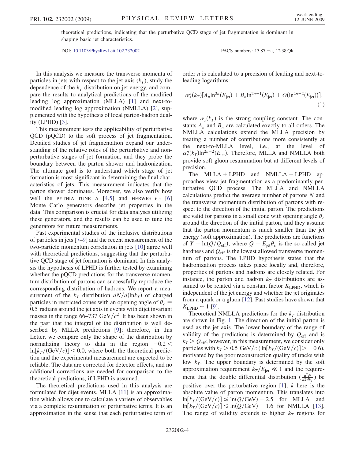theoretical predictions, indicating that the perturbative QCD stage of jet fragmentation is dominant in shaping basic jet characteristics.

DOI: [10.1103/PhysRevLett.102.232002](http://dx.doi.org/10.1103/PhysRevLett.102.232002) PACS numbers: 13.87.a, 12.38.Qk

In this analysis we measure the transverse momenta of particles in jets with respect to the jet axis  $(k_T)$ , study the dependence of the  $k_T$  distribution on jet energy, and compare the results to analytical predictions of the modified leading log approximation (MLLA) [[1](#page-7-3)] and next-tomodified leading log approximation (NMLLA) [[2\]](#page-7-4), supplemented with the hypothesis of local parton-hadron duality (LPHD) [[3](#page-7-5)].

This measurement tests the applicability of perturbative QCD (pQCD) to the soft process of jet fragmentation. Detailed studies of jet fragmentation expand our understanding of the relative roles of the perturbative and nonperturbative stages of jet formation, and they probe the boundary between the parton shower and hadronization. The ultimate goal is to understand which stage of jet formation is most significant in determining the final characteristics of jets. This measurement indicates that the parton shower dominates. Moreover, we also verify how well the PYTHIA TUNE A  $[4,5]$  $[4,5]$  $[4,5]$  $[4,5]$  and HERWIG 6.5  $[6]$ Monte Carlo generators describe jet properties in the data. This comparison is crucial for data analyses utilizing these generators, and the results can be used to tune the generators for future measurements.

Past experimental studies of the inclusive distributions of particles in jets [\[7](#page-7-9)–[9\]](#page-7-10) and the recent measurement of the two-particle momentum correlation in jets [[10](#page-7-11)] agree well with theoretical predictions, suggesting that the perturbative QCD stage of jet formation is dominant. In this analysis the hypothesis of LPHD is further tested by examining whether the pQCD predictions for the transverse momentum distribution of partons can successfully reproduce the corresponding distribution of hadrons. We report a measurement of the  $k_T$  distribution  $dN/d(\ln k_T)$  of charged particles in restricted cones with an opening angle of  $\theta_c$  = 0:5 radians around the jet axis in events with dijet invariant masses in the range 66–737 GeV/ $c^2$ . It has been shown in the past that the integral of the distribution is well described by MLLA predictions [\[9\]](#page-7-10); therefore, in this Letter, we compare only the shape of the distribution by normalizing theory to data in the region  $-0.2 <$  $\ln[k_T/(\text{GeV}/c)]$  < 0.0, where both the theoretical prediction and the experimental measurement are expected to be reliable. The data are corrected for detector effects, and no additional corrections are needed for comparison to the theoretical predictions, if LPHD is assumed.

The theoretical predictions used in this analysis are formulated for dijet events. MLLA [[11](#page-7-12)] is an approximation which allows one to calculate a variety of observables via a complete resummation of perturbative terms. It is an approximation in the sense that each perturbative term of order n is calculated to a precision of leading and next-toleading logarithms:

$$
\alpha_s^n(k_T)[A_n \ln^{2n}(E_{\text{jet}}) + B_n \ln^{2n-1}(E_{\text{jet}}) + O(\ln^{2n-2}(E_{\text{jet}}))],
$$
\n(1)

where  $\alpha_s(k)$  is the strong coupling constant. The constants  $A_n$  and  $B_n$  are calculated exactly to all orders. The NMLLA calculations extend the MLLA precision by treating a number of contributions more consistently at the next-to-MLLA level, i.e., at the level of  $\alpha_s^n(k_T) \ln^{2n-2}(E_{\text{jet}})$ . Therefore, MLLA and NMLLA both provide soft gluon resummation but at different levels of precision.

The MLLA + LPHD and NMLLA + LPHD approaches view jet fragmentation as a predominantly perturbative QCD process. The MLLA and NMLLA calculations predict the average number of partons N and the transverse momentum distribution of partons with respect to the direction of the initial parton. The predictions are valid for partons in a small cone with opening angle  $\theta_c$ around the direction of the initial parton, and they assume that the parton momentum is much smaller than the jet energy (soft approximation). The predictions are functions of  $Y = \ln(Q/Q_{\text{eff}})$ , where  $Q = E_{\text{jet}}\theta_c$  is the so-called jet hardness and  $Q_{\text{eff}}$  is the lowest allowed transverse momentum of partons. The LPHD hypothesis states that the hadronization process takes place locally and, therefore, properties of partons and hadrons are closely related. For instance, the parton and hadron  $k_T$  distributions are assumed to be related via a constant factor  $K_{\text{LPHD}}$ , which is independent of the jet energy and whether the jet originates from a quark or a gluon [\[12](#page-7-13)]. Past studies have shown that  $K_{\text{LPHD}} \sim 1$  [\[9](#page-7-10)].

Theoretical NMLLA predictions for the  $k_T$  distribution are shown in Fig. [1.](#page-4-0) The direction of the initial parton is used as the jet axis. The lower boundary of the range of validity of the predictions is determined by  $Q_{\text{eff}}$  and is  $k_T > Q_{\text{eff}}$ ; however, in this measurement, we consider only particles with  $k_T > 0.5 \text{ GeV}/c \left( \frac{\ln[k_T/(\text{GeV}/c)]}{\text{FeV}/c} \right) > -0.6$ ), motivated by the poor reconstruction quality of tracks with low  $k_T$ . The upper boundary is determined by the soft approximation requirement  $k_T/E_{\text{jet}} \ll 1$  and the requirement that the double differential distribution  $\left(\frac{d^2N}{dkdkr}\right)$  be positive over the perturbative region  $[1]$  $[1]$ ; k here is the absolute value of parton momentum. This translates into  $\ln[k_T/(\text{GeV}/c)] \leq \ln(Q/\text{GeV}) - 2.5$  for MLLA and  $\ln[k_T/(\text{GeV}/c)] \le \ln(Q/\text{GeV}) - 1.6$  for NMLLA [[13\]](#page-7-14). The range of validity extends to higher  $k_T$  regions for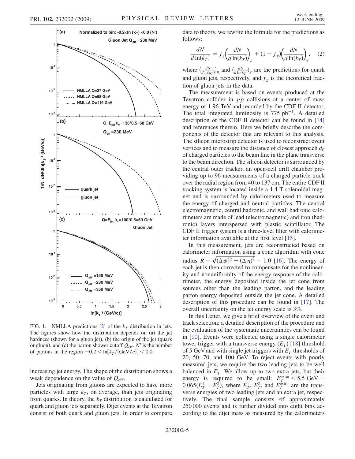<span id="page-4-0"></span>

FIG. 1. NMLLA predictions [[2](#page-7-4)] of the  $k_T$  distribution in jets. The figures show how the distribution depends on (a) the jet hardness (shown for a gluon jet), (b) the origin of the jet (quark or gluon), and (c) the parton shower cutoff  $Q_{\text{eff}}$ . N' is the number of partons in the region  $-0.2 < \ln[k_T/(\text{GeV}/c)] < 0.0$ .

increasing jet energy. The shape of the distribution shows a weak dependence on the value of  $Q_{\text{eff}}$ .

Jets originating from gluons are expected to have more particles with large  $k<sub>T</sub>$ , on average, than jets originating from quarks. In theory, the  $k<sub>T</sub>$  distribution is calculated for quark and gluon jets separately. Dijet events at the Tevatron consist of both quark and gluon jets. In order to compare data to theory, we rewrite the formula for the predictions as follows:

$$
\frac{dN}{d\ln(k_T)} = f_g \left(\frac{dN}{d\ln(k_T)}\right)_g + (1 - f_g) \left(\frac{dN}{d\ln(k_T)}\right)_q, \quad (2)
$$

where  $\left(\frac{dN}{d\ln(k_T)}\right)_q$  and  $\left(\frac{dN}{d\ln(k_T)}\right)_g$  are the predictions for quark and gluon jets, respectively, and  $f<sub>g</sub>$  is the theoretical fraction of gluon jets in the data.

The measurement is based on events produced at the Tevatron collider in  $p\bar{p}$  collisions at a center of mass energy of 1.96 TeV and recorded by the CDF II detector. The total integrated luminosity is  $775$   $pb^{-1}$ . A detailed description of the CDF II detector can be found in [\[14\]](#page-7-15) and references therein. Here we briefly describe the components of the detector that are relevant to this analysis. The silicon microstrip detector is used to reconstruct event vertices and to measure the distance of closest approach  $d_0$ of charged particles to the beam line in the plane transverse to the beam direction. The silicon detector is surrounded by the central outer tracker, an open-cell drift chamber providing up to 96 measurements of a charged particle track over the radial region from 40 to 137 cm. The entire CDF II tracking system is located inside a 1.4 T solenoidal magnet and is surrounded by calorimeters used to measure the energy of charged and neutral particles. The central electromagnetic, central hadronic, and wall hadronic calorimeters are made of lead (electromagnetic) and iron (hadronic) layers interspersed with plastic scintillator. The CDF II trigger system is a three-level filter with calorimeter information available at the first level [[15](#page-7-16)].

In this measurement, jets are reconstructed based on calorimeter information using a cone algorithm with cone radius  $R = \sqrt{\left(\Delta \phi\right)^2 + \left(\Delta \eta\right)^2} = 1.0$  [[16](#page-7-17)]. The energy of each jet is then corrected to compensate for the nonlinearity and nonuniformity of the energy response of the calorimeter, the energy deposited inside the jet cone from sources other than the leading parton, and the leading parton energy deposited outside the jet cone. A detailed description of this procedure can be found in [[17](#page-7-18)]. The overall uncertainty on the jet energy scale is 3%.

In this Letter, we give a brief overview of the event and track selection; a detailed description of the procedure and the evaluation of the systematic uncertainties can be found in [\[10\]](#page-7-11). Events were collected using a single calorimeter tower trigger with a transverse energy  $(E_T)$  [\[18\]](#page-7-19) threshold of 5 GeV and with single jet triggers with  $E_T$  thresholds of 20, 50, 70, and 100 GeV. To reject events with poorly measured jets, we require the two leading jets to be well balanced in  $E_T$ . We allow up to two extra jets, but their energy is required to be small:  $E_T^{\text{extra}} < 5.5 \text{ GeV} +$  $0.065(E_T^1 + E_T^2)$ , where  $E_T^1$ ,  $E_T^2$ , and  $E_T^{\text{extra}}$  are the transverse energies of two leading jets and an extra jet, respectively. The final sample consists of approximately 250 000 events and is further divided into eight bins according to the dijet mass as measured by the calorimeters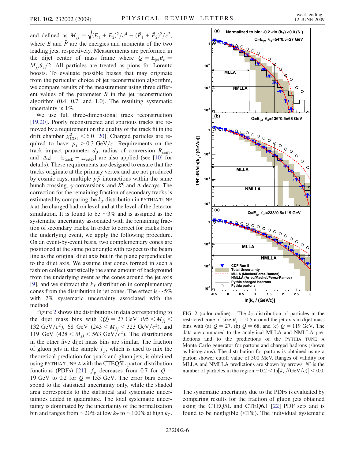and defined as  $M_{jj} = \sqrt{(E_1 + E_2)^2/c^4 - (\vec{P}_1 + \vec{P}_2)^2/c^2}$ , where  $E$  and  $\overrightarrow{P}$  are the energies and momenta of the two leading jets, respectively. Measurements are performed in the dijet center of mass frame where  $Q = E_{\text{jet}} \theta_c$  =  $M_{ij}\theta_c/2$ . All particles are treated as pions for Lorentz boosts. To evaluate possible biases that may originate from the particular choice of jet reconstruction algorithm, we compare results of the measurement using three different values of the parameter  $R$  in the jet reconstruction algorithm (0.4, 0.7, and 1.0). The resulting systematic uncertainty is 1%.

We use full three-dimensional track reconstruction [\[19](#page-7-20)[,20\]](#page-7-21). Poorly reconstructed and spurious tracks are removed by a requirement on the quality of the track fit in the drift chamber  $\chi^2_{\text{COT}}$  < 6.0 [[20](#page-7-21)]. Charged particles are required to have  $p_T > 0.3$  GeV/c. Requirements on the track impact parameter  $d_0$ , radius of conversion  $R_{\text{conv}}$ , and  $|\Delta z| = |z_{\text{track}} - z_{\text{vertex}}|$  are also applied (see [[10](#page-7-11)] for details). These requirements are designed to ensure that the tracks originate at the primary vertex and are not produced by cosmic rays, multiple  $p\bar{p}$  interactions within the same bunch crossing,  $\gamma$  conversions, and  $K^0$  and  $\Lambda$  decays. The correction for the remaining fraction of secondary tracks is estimated by comparing the  $k<sub>T</sub>$  distribution in PYTHIA TUNE A at the charged hadron level and at the level of the detector simulation. It is found to be  $\sim 3\%$  and is assigned as the systematic uncertainty associated with the remaining fraction of secondary tracks. In order to correct for tracks from the underlying event, we apply the following procedure. On an event-by-event basis, two complementary cones are positioned at the same polar angle with respect to the beam line as the original dijet axis but in the plane perpendicular to the dijet axis. We assume that cones formed in such a fashion collect statistically the same amount of background from the underlying event as the cones around the jet axis [\[9\]](#page-7-10), and we subtract the  $k_T$  distribution in complementary cones from the distribution in jet cones. The effect is  $\sim$ 5% with 2% systematic uncertainty associated with the method.

Figure [2](#page-5-0) shows the distributions in data corresponding to the dijet mass bins with  $\langle Q \rangle = 27 \text{ GeV}$  (95 < M<sub>jj</sub> < 132 GeV/ $c^2$ ), 68 GeV (243  $\lt M_{jj}$   $\lt$  323 GeV/ $c^2$ ), and 119 GeV (428  $\lt M_{ij}$   $\lt$  563 GeV/ $c^2$ ). The distributions in the other five dijet mass bins are similar. The fraction of gluon jets in the sample  $f_g$ , which is used to mix the theoretical prediction for quark and gluon jets, is obtained using PYTHIA TUNE A with the CTEQ5L parton distribution functions (PDFs) [[21](#page-7-22)].  $f_g$  decreases from 0.7 for  $Q =$ 19 GeV to 0.2 for  $Q = 155$  GeV. The error bars correspond to the statistical uncertainty only, while the shaded area corresponds to the statistical and systematic uncertainties added in quadrature. The total systematic uncertainty is dominated by the uncertainty of the normalization bin and ranges from  $\sim$  20% at low  $k_T$  to  $\sim$  100% at high  $k_T$ .

<span id="page-5-0"></span>

FIG. 2 (color online). The  $k_T$  distribution of particles in the restricted cone of size  $\theta_c = 0.5$  around the jet axis in dijet mass bins with (a)  $Q = 27$ , (b)  $Q = 68$ , and (c)  $Q = 119$  GeV. The data are compared to the analytical MLLA and NMLLA predictions and to the predictions of the PYTHIA TUNE A Monte Carlo generator for partons and charged hadrons (shown as histograms). The distribution for partons is obtained using a parton shower cutoff value of 500 MeV. Ranges of validity for MLLA and NMLLA predictions are shown by arrows.  $N'$  is the number of particles in the region  $-0.2 < \ln[k_T/(\text{GeV}/c)] < 0.0$ .

The systematic uncertainty due to the PDFs is evaluated by comparing results for the fraction of gluon jets obtained using the CTEQ5L and CTEQ6.1 [[22](#page-7-23)] PDF sets and is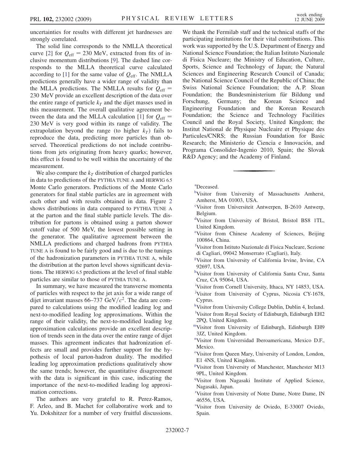uncertainties for results with different jet hardnesses are strongly correlated.

The solid line corresponds to the NMLLA theoretical curve [\[2\]](#page-7-4) for  $Q_{\text{eff}} = 230$  MeV, extracted from fits of inclusive momentum distributions [[9\]](#page-7-10). The dashed line corresponds to the MLLA theoretical curve calculated according to [\[1\]](#page-7-3) for the same value of  $Q_{\text{eff}}$ . The NMLLA predictions generally have a wider range of validity than the MLLA predictions. The NMLLA results for  $Q_{\text{eff}} =$ 230 MeV provide an excellent description of the data over the entire range of particle  $k<sub>T</sub>$  and the dijet masses used in this measurement. The overall qualitative agreement be-tween the data and the MLLA calculation [\[1](#page-7-3)] for  $Q_{\text{eff}} =$ 230 MeV is very good within its range of validity. The extrapolation beyond the range (to higher  $k_T$ ) fails to reproduce the data, predicting more particles than observed. Theoretical predictions do not include contributions from jets originating from heavy quarks; however, this effect is found to be well within the uncertainty of the measurement.

We also compare the  $k<sub>T</sub>$  distribution of charged particles in data to predictions of the PYTHIA TUNE A and HERWIG 6.5 Monte Carlo generators. Predictions of the Monte Carlo generators for final stable particles are in agreement with each other and with results obtained in data. Figure [2](#page-5-0) shows distributions in data compared to PYTHIA TUNE A at the parton and the final stable particle levels. The distribution for partons is obtained using a parton shower cutoff value of 500 MeV, the lowest possible setting in the generator. The qualitative agreement between the NMLLA predictions and charged hadrons from PYTHIA TUNE A is found to be fairly good and is due to the tunings of the hadronization parameters in PYTHIA TUNE A, while the distribution at the parton level shows significant deviations. The HERWIG 6.5 predictions at the level of final stable particles are similar to those of PYTHIA TUNE A.

In summary, we have measured the transverse momenta of particles with respect to the jet axis for a wide range of dijet invariant masses 66–737 GeV/ $c^2$ . The data are compared to calculations using the modified leading log and next-to-modified leading log approximations. Within the range of their validity, the next-to-modified leading log approximation calculations provide an excellent description of trends seen in the data over the entire range of dijet masses. This agreement indicates that hadronization effects are small and provides further support for the hypothesis of local parton-hadron duality. The modified leading log approximation predictions qualitatively show the same trends; however, the quantitative disagreement with the data is significant in this case, indicating the importance of the next-to-modified leading log approximation corrections.

The authors are very grateful to R. Perez-Ramos, F. Arleo, and B. Machet for collaborative work and to Yu. Dokshitzer for a number of very fruitful discussions. We thank the Fermilab staff and the technical staffs of the participating institutions for their vital contributions. This work was supported by the U.S. Department of Energy and National Science Foundation; the Italian Istituto Nazionale di Fisica Nucleare; the Ministry of Education, Culture, Sports, Science and Technology of Japan; the Natural Sciences and Engineering Research Council of Canada; the National Science Council of the Republic of China; the Swiss National Science Foundation; the A. P. Sloan Foundation; the Bundesministerium für Bildung und Forschung, Germany; the Korean Science and Engineering Foundation and the Korean Research Foundation; the Science and Technology Facilities Council and the Royal Society, United Kingdom; the Institut National de Physique Nucleaire et Physique des Particules/CNRS; the Russian Foundation for Basic Research; the Ministerio de Ciencia e Innovación, and Programa Consolider-Ingenio 2010, Spain; the Slovak R&D Agency; and the Academy of Finland.

<span id="page-6-11"></span><span id="page-6-0"></span>[a](#page-1-0) Deceased.

- <sup>[b](#page-0-0)</sup>Visitor from University of Massachusetts Amherst, Amherst, MA 01003, USA.
- <span id="page-6-16"></span><span id="page-6-5"></span>[c](#page-1-1) Visitor from Universiteit Antwerpen, B-2610 Antwerp, Belgium.
- [d](#page-0-1) Visitor from University of Bristol, Bristol BS8 1TL, United Kingdom.
- <span id="page-6-18"></span><span id="page-6-7"></span>[e](#page-1-2)Visitor from Chinese Academy of Sciences, Beijing 100864, China.
- [f](#page-0-2) Visitor from Istituto Nazionale di Fisica Nucleare, Sezione di Cagliari, 09042 Monserrato (Cagliari), Italy.
- <span id="page-6-14"></span>[g](#page-1-3) Visitor from University of California Irvine, Irvine, CA 92697, USA.
- <span id="page-6-15"></span><span id="page-6-10"></span>[h](#page-1-4) Visitor from University of California Santa Cruz, Santa Cruz, CA 95064, USA.
- <span id="page-6-12"></span>[i](#page-1-5) Visitor from Cornell University, Ithaca, NY 14853, USA.
- [j](#page-1-6) Visitor from University of Cyprus, Nicosia CY-1678, Cyprus.
- <span id="page-6-9"></span><span id="page-6-1"></span>[k](#page-0-3) Visitor from University College Dublin, Dublin 4, Ireland. <sup>1</sup>Visitor from Roya[l](#page-0-4) Society of Edinburgh, Edinburgh EH2 2PQ, United Kingdom.
- <span id="page-6-8"></span><span id="page-6-2"></span>[mV](#page-0-2)isitor from University of Edinburgh, Edinburgh EH9 3JZ, United Kingdom.
- <span id="page-6-3"></span>[n](#page-0-5) Visitor from Universidad Iberoamericana, Mexico D.F., Mexico.
- <sup>[o](#page-0-6)</sup>Visitor from Queen Mary, University of London, London, E1 4NS, United Kingdom.
- <span id="page-6-17"></span>[p](#page-1-7) Visitor from University of Manchester, Manchester M13 9PL, United Kingdom.
- <span id="page-6-13"></span><sup>[q](#page-1-8)</sup>Visitor from Nagasaki Institute of Applied Science, Nagasaki, Japan.
- <span id="page-6-6"></span><span id="page-6-4"></span>[r](#page-0-7) Visitor from University of Notre Dame, Notre Dame, IN 46556, USA.
- [s](#page-0-8) Visitor from University de Oviedo, E-33007 Oviedo, Spain.